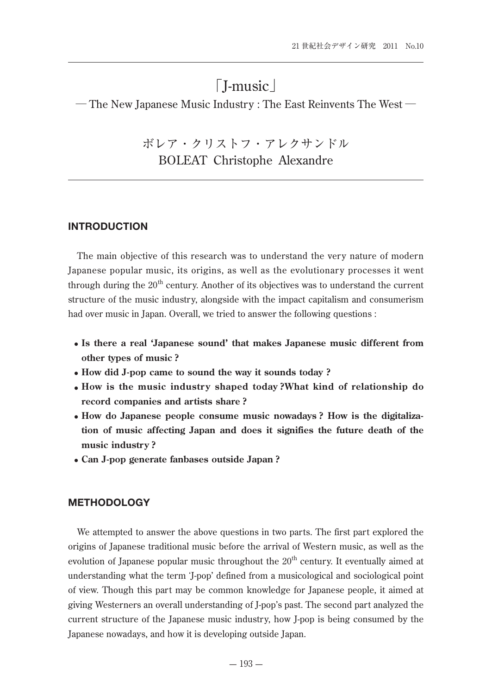# 「J-music」

─ The New Japanese Music Industry : The East Reinvents The West ─

ボレア・クリストフ・アレクサンドル BOLEAT Christophe Alexandre

### **INTRODUCTION**

The main objective of this research was to understand the very nature of modern Japanese popular music, its origins, as well as the evolutionary processes it went through during the  $20<sup>th</sup>$  century. Another of its objectives was to understand the current structure of the music industry, alongside with the impact capitalism and consumerism had over music in Japan. Overall, we tried to answer the following questions :

- **Is there a real 'Japanese sound' that makes Japanese music different from other types of music ?**
- **How did J-pop came to sound the way it sounds today ?**
- **How is the music industry shaped today ?What kind of relationship do record companies and artists share ?**
- **How do Japanese people consume music nowadays ? How is the digitalization of music affecting Japan and does it signifies the future death of the music industry ?**
- **Can J-pop generate fanbases outside Japan ?**

### **METHODOLOGY**

We attempted to answer the above questions in two parts. The first part explored the origins of Japanese traditional music before the arrival of Western music, as well as the evolution of Japanese popular music throughout the  $20<sup>th</sup>$  century. It eventually aimed at understanding what the term ʻJ-pop' defined from a musicological and sociological point of view. Though this part may be common knowledge for Japanese people, it aimed at giving Westerners an overall understanding of J-pop's past. The second part analyzed the current structure of the Japanese music industry, how J-pop is being consumed by the Japanese nowadays, and how it is developing outside Japan.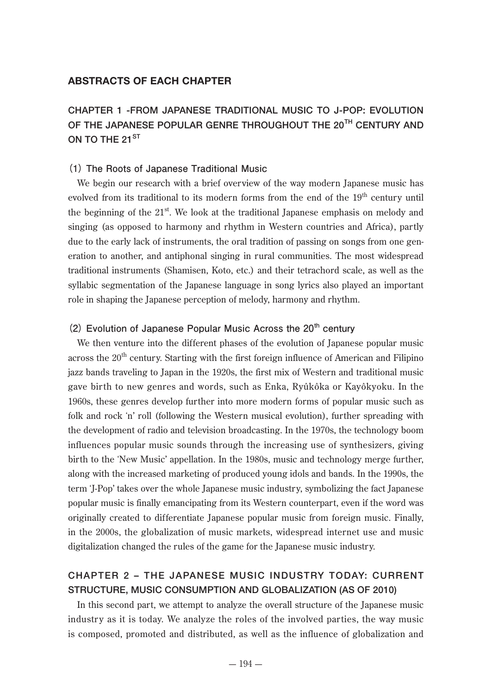### **ABSTRACTS OF EACH CHAPTER**

# **CHAPTER 1 -FROM JAPANESE TRADITIONAL MUSIC TO J-POP: EVOLUTION OF THE JAPANESE POPULAR GENRE THROUGHOUT THE 20 TH CENTURY AND ON TO THE 21 ST**

### **(1) The Roots of Japanese Traditional Music**

We begin our research with a brief overview of the way modern Japanese music has evolved from its traditional to its modern forms from the end of the 19<sup>th</sup> century until the beginning of the  $21<sup>st</sup>$ . We look at the traditional Japanese emphasis on melody and singing (as opposed to harmony and rhythm in Western countries and Africa), partly due to the early lack of instruments, the oral tradition of passing on songs from one generation to another, and antiphonal singing in rural communities. The most widespread traditional instruments (Shamisen, Koto, etc.) and their tetrachord scale, as well as the syllabic segmentation of the Japanese language in song lyrics also played an important role in shaping the Japanese perception of melody, harmony and rhythm.

### **(2) Evolution of Japanese Popular Music Across the 20th century**

We then venture into the different phases of the evolution of Japanese popular music across the  $20<sup>th</sup>$  century. Starting with the first foreign influence of American and Filipino jazz bands traveling to Japan in the 1920s, the first mix of Western and traditional music gave birth to new genres and words, such as Enka, Ryûkôka or Kayôkyoku. In the 1960s, these genres develop further into more modern forms of popular music such as folk and rock ʻn' roll (following the Western musical evolution), further spreading with the development of radio and television broadcasting. In the 1970s, the technology boom influences popular music sounds through the increasing use of synthesizers, giving birth to the ʻNew Music' appellation. In the 1980s, music and technology merge further, along with the increased marketing of produced young idols and bands. In the 1990s, the term ʻJ-Pop' takes over the whole Japanese music industry, symbolizing the fact Japanese popular music is finally emancipating from its Western counterpart, even if the word was originally created to differentiate Japanese popular music from foreign music. Finally, in the 2000s, the globalization of music markets, widespread internet use and music digitalization changed the rules of the game for the Japanese music industry.

## **CHAPTER 2 – THE JAPANESE MUSIC INDUSTRY TODAY: CURRENT STRUCTURE, MUSIC CONSUMPTION AND GLOBALIZATION (AS OF 2010)**

In this second part, we attempt to analyze the overall structure of the Japanese music industry as it is today. We analyze the roles of the involved parties, the way music is composed, promoted and distributed, as well as the influence of globalization and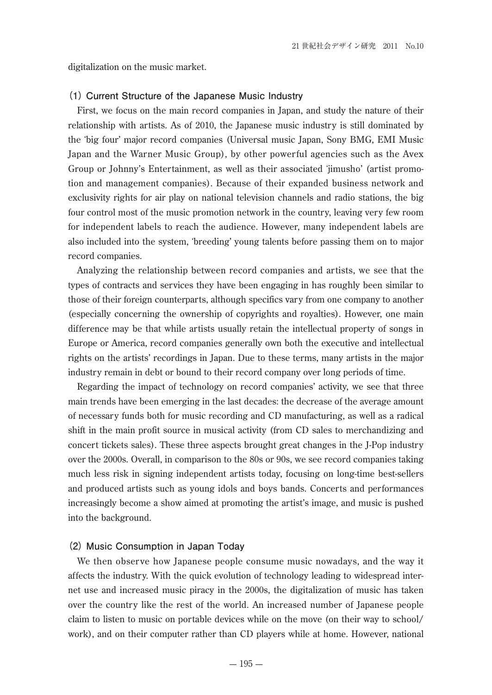digitalization on the music market.

#### **(1) Current Structure of the Japanese Music Industry**

First, we focus on the main record companies in Japan, and study the nature of their relationship with artists. As of 2010, the Japanese music industry is still dominated by the ʻbig four' major record companies (Universal music Japan, Sony BMG, EMI Music Japan and the Warner Music Group), by other powerful agencies such as the Avex Group or Johnny's Entertainment, as well as their associated ʻjimusho' (artist promotion and management companies). Because of their expanded business network and exclusivity rights for air play on national television channels and radio stations, the big four control most of the music promotion network in the country, leaving very few room for independent labels to reach the audience. However, many independent labels are also included into the system, ʻbreeding' young talents before passing them on to major record companies.

Analyzing the relationship between record companies and artists, we see that the types of contracts and services they have been engaging in has roughly been similar to those of their foreign counterparts, although specifics vary from one company to another (especially concerning the ownership of copyrights and royalties). However, one main difference may be that while artists usually retain the intellectual property of songs in Europe or America, record companies generally own both the executive and intellectual rights on the artists' recordings in Japan. Due to these terms, many artists in the major industry remain in debt or bound to their record company over long periods of time.

Regarding the impact of technology on record companies' activity, we see that three main trends have been emerging in the last decades: the decrease of the average amount of necessary funds both for music recording and CD manufacturing, as well as a radical shift in the main profit source in musical activity (from CD sales to merchandizing and concert tickets sales). These three aspects brought great changes in the J-Pop industry over the 2000s. Overall, in comparison to the 80s or 90s, we see record companies taking much less risk in signing independent artists today, focusing on long-time best-sellers and produced artists such as young idols and boys bands. Concerts and performances increasingly become a show aimed at promoting the artist's image, and music is pushed into the background.

#### **(2) Music Consumption in Japan Today**

We then observe how Japanese people consume music nowadays, and the way it affects the industry. With the quick evolution of technology leading to widespread internet use and increased music piracy in the 2000s, the digitalization of music has taken over the country like the rest of the world. An increased number of Japanese people claim to listen to music on portable devices while on the move (on their way to school/ work), and on their computer rather than CD players while at home. However, national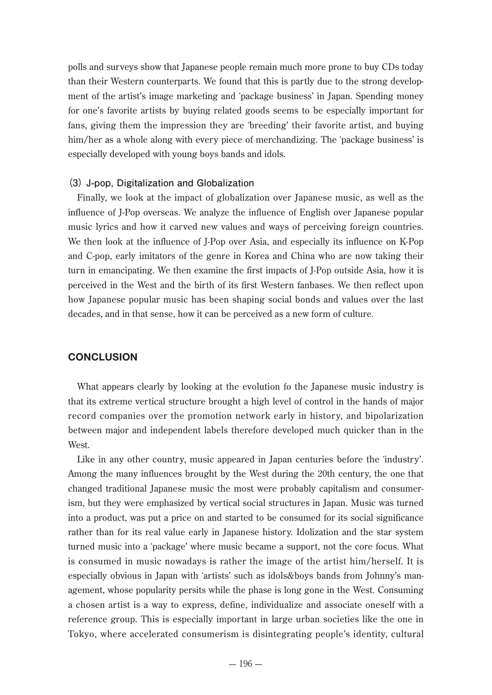polls and surveys show that Japanese people remain much more prone to buy CDs today than their Western counterparts. We found that this is partly due to the strong development of the artist's image marketing and ʻpackage business' in Japan. Spending money for one's favorite artists by buying related goods seems to be especially important for fans, giving them the impression they are ʻbreeding' their favorite artist, and buying him/her as a whole along with every piece of merchandizing. The 'package business' is especially developed with young boys bands and idols.

### **(3) J-pop, Digitalization and Globalization**

Finally, we look at the impact of globalization over Japanese music, as well as the influence of J-Pop overseas. We analyze the influence of English over Japanese popular music lyrics and how it carved new values and ways of perceiving foreign countries. We then look at the influence of J-Pop over Asia, and especially its influence on K-Pop and C-pop, early imitators of the genre in Korea and China who are now taking their turn in emancipating. We then examine the first impacts of J-Pop outside Asia, how it is perceived in the West and the birth of its first Western fanbases. We then reflect upon how Japanese popular music has been shaping social bonds and values over the last decades, and in that sense, how it can be perceived as a new form of culture.

### **CONCLUSION**

What appears clearly by looking at the evolution fo the Japanese music industry is that its extreme vertical structure brought a high level of control in the hands of major record companies over the promotion network early in history, and bipolarization between major and independent labels therefore developed much quicker than in the West.

Like in any other country, music appeared in Japan centuries before the ʻindustry'. Among the many influences brought by the West during the 20th century, the one that changed traditional Japanese music the most were probably capitalism and consumerism, but they were emphasized by vertical social structures in Japan. Music was turned into a product, was put a price on and started to be consumed for its social significance rather than for its real value early in Japanese history. Idolization and the star system turned music into a ʻpackage' where music became a support, not the core focus. What is consumed in music nowadays is rather the image of the artist him/herself. It is especially obvious in Japan with ʻartists' such as idols&boys bands from Johnny's management, whose popularity persits while the phase is long gone in the West. Consuming a chosen artist is a way to express, define, individualize and associate oneself with a reference group. This is especially important in large urban societies like the one in Tokyo, where accelerated consumerism is disintegrating people's identity, cultural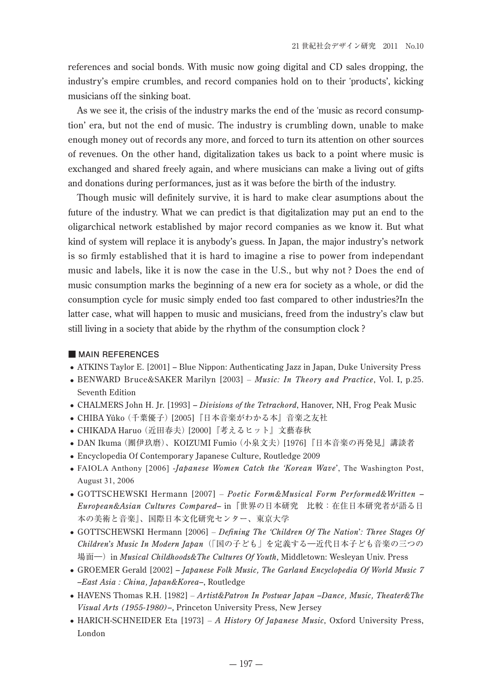references and social bonds. With music now going digital and CD sales dropping, the industry's empire crumbles, and record companies hold on to their ʻproducts', kicking musicians off the sinking boat.

As we see it, the crisis of the industry marks the end of the ʻmusic as record consumption' era, but not the end of music. The industry is crumbling down, unable to make enough money out of records any more, and forced to turn its attention on other sources of revenues. On the other hand, digitalization takes us back to a point where music is exchanged and shared freely again, and where musicians can make a living out of gifts and donations during performances, just as it was before the birth of the industry.

Though music will definitely survive, it is hard to make clear asumptions about the future of the industry. What we can predict is that digitalization may put an end to the oligarchical network established by major record companies as we know it. But what kind of system will replace it is anybody's guess. In Japan, the major industry's network is so firmly established that it is hard to imagine a rise to power from independant music and labels, like it is now the case in the U.S., but why not ? Does the end of music consumption marks the beginning of a new era for society as a whole, or did the consumption cycle for music simply ended too fast compared to other industries?In the latter case, what will happen to music and musicians, freed from the industry's claw but still living in a society that abide by the rhythm of the consumption clock ?

#### **■ MAIN REFERENCES**

- ATKINS Taylor E. [2001] Blue Nippon: Authenticating Jazz in Japan, Duke University Press
- BENWARD Bruce&SAKER Marilyn [2003]  *Music: In Theory and Practice*, Vol. I, p.25. Seventh Edition
- CHALMERS John H. Jr. [1993] *– Divisions of the Tetrachord*, Hanover, NH, Frog Peak Music
- CHIBA Yûko (千葉優子) [2005]『日本音楽がわかる本』音楽之友社
- CHIKADA Haruo (近田春夫) [2000]『考えるヒット』文藝春秋
- DAN Ikuma (團伊玖磨)、KOIZUMI Fumio (小泉文夫) [1976]『日本音楽の再発見』講談者
- Encyclopedia Of Contemporary Japanese Culture, Routledge 2009
- FAIOLA Anthony [2006] -*Japanese Women Catch the 'Korean Wave*', The Washington Post, August 31, 2006
- GOTTSCHEWSKI Hermann [2007]  *Poetic Form&Musical Form Performed&Written – European&Asian Cultures Compared–* in『世界の日本研究 比較:在住日本研究者が語る日 本の美術と音楽』、国際日本文化研究センター、東京大学
- GOTTSCHEWSKI Hermann [2006]  *Defining The 'Children Of The Nation*'*: Three Stages Of Children*'*s Music In Modern Japan*(「国の子ども」を定義する―近代日本子ども音楽の三つの 場面―)in *Musical Childhoods&The Cultures Of Youth*, Middletown: Wesleyan Univ. Press
- GROEMER Gerald [2002] *– Japanese Folk Music, The Garland Encyclopedia Of World Music 7 –East Asia : China, Japan&Korea–*, Routledge
- HAVENS Thomas R.H. [1982]  *Artist&Patron In Postwar Japan –Dance, Music, Theater&The Visual Arts (1955-1980)–*, Princeton University Press, New Jersey
- HARICH-SCHNEIDER Eta [1973]  *A History Of Japanese Music*, Oxford University Press, London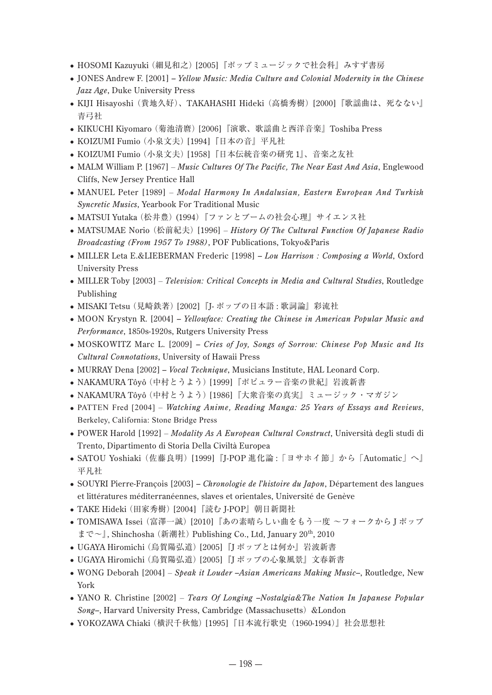- HOSOMI Kazuyuki (細見和之) [2005]『ポップミュージックで社会科』みすず書房
- JONES Andrew F. [2001] *– Yellow Music: Media Culture and Colonial Modernity in the Chinese Jazz Age*, Duke University Press
- KIJI Hisayoshi (貴地久好)、TAKAHASHI Hideki (高橋秀樹) [2000]『歌謡曲は、死なない』 青弓社
- KIKUCHI Kiyomaro (菊池清麿) [2006]『演歌、歌謡曲と西洋音楽』Toshiba Press
- KOIZUMI Fumio (小泉文夫) [1994]『日本の音』平凡社
- KOIZUMI Fumio (小泉文夫) [1958]『日本伝統音楽の研究 1』、音楽之友社
- MALM William P. [1967]  *Music Cultures Of The Pacific, The Near East And Asia*, Englewood Cliffs, New Jersey Prentice Hall
- MANUEL Peter [1989]  *Modal Harmony In Andalusian, Eastern European And Turkish Syncretic Musics*, Yearbook For Traditional Music
- MATSUI Yutaka (松井豊) (1994)『ファンとブームの社会心理』サイエンス社
- MATSUMAE Norio (松前紀夫) [1996]  *History Of The Cultural Function Of Japanese Radio Broadcasting (From 1957 To 1988)*, POF Publications, Tokyo&Paris
- MILLER Leta E.&LIEBERMAN Frederic [1998] *– Lou Harrison : Composing a World*, Oxford University Press
- MILLER Toby [2003]  *Television: Critical Concepts in Media and Cultural Studies*, Routledge Publishing
- MISAKI Tetsu (見崎鉄著) [2002]『J- ポップの日本語 : 歌詞論』彩流社
- MOON Krystyn R. [2004] *– Yellowface: Creating the Chinese in American Popular Music and Performance*, 1850s-1920s, Rutgers University Press
- MOSKOWITZ Marc L. [2009] *– Cries of Joy, Songs of Sorrow: Chinese Pop Music and Its Cultural Connotations*, University of Hawaii Press
- MURRAY Dena [2002] *Vocal Technique*, Musicians Institute, HAL Leonard Corp.
- NAKAMURA Tôyô (中村とうよう) [1999]『ポピュラー音楽の世紀』岩波新書
- NAKAMURA Tôyô (中村とうよう) [1986]『大衆音楽の真実』ミュージック・マガジン
- PATTEN Fred [2004]  *Watching Anime, Reading Manga: 25 Years of Essays and Reviews*, Berkeley, California: Stone Bridge Press
- POWER Harold [1992]  *Modality As A European Cultural Construct*, Università degli studi di Trento, Dipartimento di Storia Della Civiltà Europea
- SATOU Yoshiaki (佐藤良明) [1999]『J-POP 進化論 :「ヨサホイ節」から「Automatic」へ』 平凡社
- SOUYRI Pierre-François [2003] *– Chronologie de l*'*histoire du Japon*, Département des langues et littératures méditerranéennes, slaves et orientales, Université de Genève
- TAKE Hideki (田家秀樹) [2004]『読む J-POP』朝日新聞社
- TOMISAWA Issei (富澤一誠) [2010]『あの素晴らしい曲をもう一度 ~フォークから J ポップ まで~』, Shinchosha (新潮社) Publishing Co., Ltd, January 20<sup>th</sup>, 2010
- UGAYA Hiromichi (烏賀陽弘道) [2005]『J ポップとは何か』岩波新書
- UGAYA Hiromichi (烏賀陽弘道) [2005]『J ポップの心象風景』文春新書
- WONG Deborah [2004]  *Speak it Louder –Asian Americans Making Music–*, Routledge, New York
- YANO R. Christine [2002]  *Tears Of Longing –Nostalgia&The Nation In Japanese Popular Song–*, Harvard University Press, Cambridge (Massachusetts)&London
- YOKOZAWA Chiaki (横沢千秋他) [1995] 『日本流行歌史 (1960-1994)』社会思想社